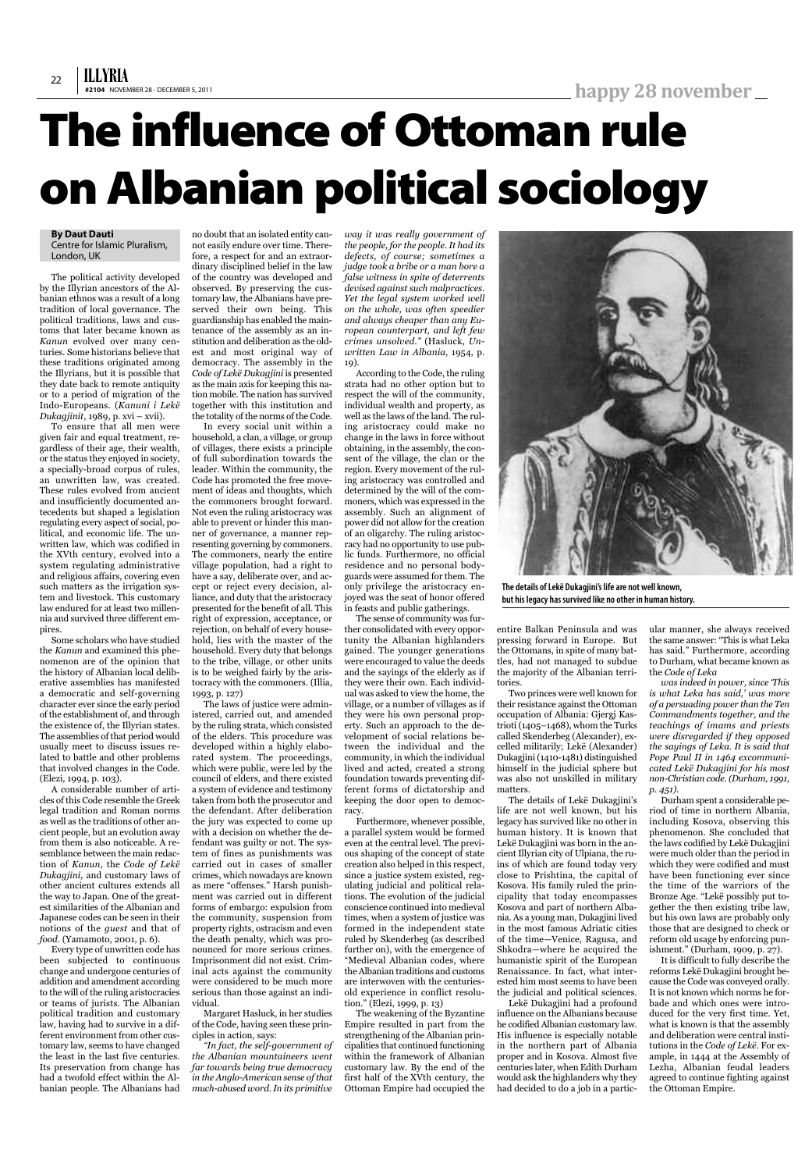## **By Daut Dauti**

Centre for Islamic Pluralism, London, UK

The political activity developed by the Illyrian ancestors of the Albanian ethnos was a result of a long tradition of local governance. The political traditions, laws and customs that later became known as *Kanun* evolved over many centuries. Some historians believe that these traditions originated among the Illyrians, but it is possible that they date back to remote antiquity or to a period of migration of the Indo-Europeans. (*Kanuni i Lekë Dukagjinit*, 1989, p. xvi – xvii).

To ensure that all men were given fair and equal treatment, regardless of their age, their wealth, or the status they enjoyed in society, a specially-broad corpus of rules, an unwritten law, was created. These rules evolved from ancient and insufficiently documented antecedents but shaped a legislation regulating every aspect of social, political, and economic life. The unwritten law, which was codified in the XVth century, evolved into a system regulating administrative and religious affairs, covering even such matters as the irrigation system and livestock. This customary law endured for at least two millennia and survived three different empires.

Some scholars who have studied the *Kanun* and examined this phenomenon are of the opinion that the history of Albanian local deliberative assemblies has manifested a democratic and self-governing character ever since the early period of the establishment of, and through the existence of, the Illyrian states. The assemblies of that period would usually meet to discuss issues related to battle and other problems that involved changes in the Code. (Elezi, 1994, p. 103).

A considerable number of articles of this Code resemble the Greek legal tradition and Roman norms as well as the traditions of other ancient people, but an evolution away from them is also noticeable. A resemblance between the main redaction of *Kanun*, the *Code of Lekë Dukagjini*, and customary laws of other ancient cultures extends all the way to Japan. One of the greatest similarities of the Albanian and

Japanese codes can be seen in their notions of the *guest* and that of *food*. (Yamamoto, 2001, p. 6).

Every type of unwritten code has been subjected to continuous change and undergone centuries of addition and amendment according to the will of the ruling aristocracies or teams of jurists. The Albanian political tradition and customary law, having had to survive in a different environment from other customary law, seems to have changed the least in the last five centuries. Its preservation from change has had a twofold effect within the Albanian people. The Albanians had

no doubt that an isolated entity cannot easily endure over time. Therefore, a respect for and an extraordinary disciplined belief in the law of the country was developed and observed. By preserving the customary law, the Albanians have preserved their own being. This guardianship has enabled the maintenance of the assembly as an institution and deliberation as the oldest and most original way of democracy. The assembly in the *Code of Lekë Dukagjini* is presented as the main axis for keeping this nation mobile. The nation has survived together with this institution and the totality of the norms of the Code.

In every social unit within a household, a clan, a village, or group of villages, there exists a principle of full subordination towards the leader. Within the community, the Code has promoted the free movement of ideas and thoughts, which the commoners brought forward. Not even the ruling aristocracy was able to prevent or hinder this manner of governance, a manner representing governing by commoners. The commoners, nearly the entire village population, had a right to have a say, deliberate over, and accept or reject every decision, alliance, and duty that the aristocracy presented for the benefit of all. This right of expression, acceptance, or rejection, on behalf of every household, lies with the master of the household. Every duty that belongs to the tribe, village, or other units is to be weighed fairly by the aristocracy with the commoners. (Illia, 1993, p. 127)

The laws of justice were administered, carried out, and amended by the ruling strata, which consisted of the elders. This procedure was developed within a highly elaborated system. The proceedings, which were public, were led by the council of elders, and there existed a system of evidence and testimony taken from both the prosecutor and the defendant. After deliberation the jury was expected to come up with a decision on whether the defendant was guilty or not. The system of fines as punishments was carried out in cases of smaller crimes, which nowadays are known as mere "offenses." Harsh punishment was carried out in different forms of embargo: expulsion from the community, suspension from property rights, ostracism and even the death penalty, which was pronounced for more serious crimes. Imprisonment did not exist. Criminal acts against the community were considered to be much more serious than those against an individual. Margaret Hasluck, in her studies of the Code, having seen these principles in action, says: *"In fact, the self-government of the Albanian mountaineers went far towards being true democracy in the Anglo-American sense of that much-abused word.In its primitive*

*way it was really government of the people, for the people. It had its defects, of course; sometimes a judge took a bribe or a man bore a false witness in spite of deterrents devised against such malpractices. Yet the legal system worked well on the whole, was often speedier and always cheaper than any European counterpart, and left few crimes unsolved."* (Hasluck, *Unwritten Law in Albania*, 1954, p. 19).

According to the Code, the ruling strata had no other option but to respect the will of the community, individual wealth and property, as well as the laws of the land. The ruling aristocracy could make no change in the laws in force without obtaining, in the assembly, the consent of the village, the clan or the region. Every movement of the ruling aristocracy was controlled and determined by the will of the commoners, which was expressed in the assembly. Such an alignment of power did not allow for the creation of an oligarchy. The ruling aristocracy had no opportunity to use public funds. Furthermore, no official residence and no personal bodyguards were assumed for them. The only privilege the aristocracy enjoyed was the seat of honor offered in feasts and public gatherings.

The sense of community was further consolidated with every opportunity the Albanian highlanders gained. The younger generations were encouraged to value the deeds and the sayings of the elderly as if they were their own. Each individual was asked to view the home, the village, or a number of villages as if they were his own personal property. Such an approach to the development of social relations between the individual and the community, in which the individual lived and acted, created a strong foundation towards preventing different forms of dictatorship and keeping the door open to democracy.

Furthermore, whenever possible, a parallel system would be formed even at the central level. The previous shaping of the concept of state creation also helped in this respect, since a justice system existed, regulating judicial and political relations. The evolution of the judicial conscience continued into medieval times, when a system of justice was formed in the independent state ruled by Skenderbeg (as described further on), with the emergence of "Medieval Albanian codes, where the Albanian traditions and customs are interwoven with the centuriesold experience in conflict resolution." (Elezi, 1999, p. 13) The weakening of the Byzantine Empire resulted in part from the strengthening of the Albanian principalities that continued functioning within the framework of Albanian customary law. By the end of the first half of the XVth century, the Ottoman Empire had occupied the entire Balkan Peninsula and was pressing forward in Europe. But the Ottomans, in spite of many battles, had not managed to subdue the majority of the Albanian territories.

Two princes were well known for their resistance against the Ottoman occupation of Albania: Gjergj Kastrioti (1405–1468), whom the Turks called Skenderbeg (Alexander), excelled militarily; Lekë (Alexander) Dukagjini(1410-1481) distinguished himself in the judicial sphere but was also not unskilled in military matters.

The details of Lekë Dukagjini's life are not well known, but his legacy has survived like no other in human history. It is known that Lekë Dukagjini was born in the ancient Illyrian city of Ulpiana, the ruins of which are found today very close to Prishtina, the capital of Kosova. His family ruled the principality that today encompasses Kosova and part of northern Albania. As a young man, Dukagjini lived in the most famous Adriatic cities of the time—Venice, Ragusa, and Shkodra—where he acquired the humanistic spirit of the European Renaissance. In fact, what interested him most seems to have been the judicial and political sciences. Lekë Dukagjini had a profound influence on the Albanians because he codified Albanian customary law. His influence is especially notable in the northern part of Albania proper and in Kosova. Almost five centuries later, when Edith Durham would ask the highlanders why they had decided to do a job in a particular manner, she always received the same answer: "This is what Leka has said." Furthermore, according to Durham, what became known as the *Code of Leka*

*was indeed in power, since 'This is what Leka has said,' was more of a persuading power than the Ten Commandments together, and the teachings of imams and priests were disregarded if they opposed the sayings of Leka. It is said that Pope Paul II in 1464 excommunicated Lekë Dukagjini for his most non-Christian code.(Durham, 1991, p. 451).*

Durham spent a considerable period of time in northern Albania, including Kosova, observing this phenomenon. She concluded that the laws codified by Lekë Dukagjini were much older than the period in which they were codified and must have been functioning ever since the time of the warriors of the Bronze Age. "Lekë possibly put together the then existing tribe law, but his own laws are probably only those that are designed to check or reform old usage by enforcing punishment." (Durham, 1909, p. 27). It is difficult to fully describe the reforms Lekë Dukagjini brought because the Code was conveyed orally. It is not known which norms he forbade and which ones were introduced for the very first time. Yet, what is known is that the assembly and deliberation were central institutions in the *Code of Lekë*. For example, in 1444 at the Assembly of Lezha, Albanian feudal leaders agreed to continue fighting against the Ottoman Empire.

## **The influence of Ottoman rule on Albanian political sociology**



**The details ofLekë Dukagjini's lifeare not wellknown, but his legacy has survived like no other in human history.**